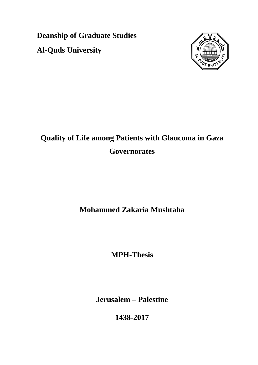**Deanship of Graduate Studies Al-Quds University**



# **Quality of Life among Patients with Glaucoma in Gaza Governorates**

## **Mohammed Zakaria Mushtaha**

**MPH-Thesis**

**Jerusalem – Palestine**

**1438-2017**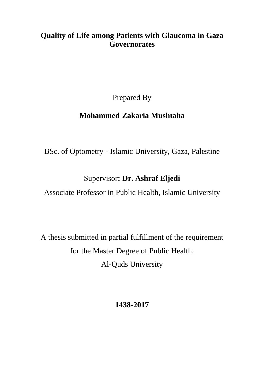## **Quality of Life among Patients with Glaucoma in Gaza Governorates**

Prepared By

## **Mohammed Zakaria Mushtaha**

BSc. of Optometry - Islamic University, Gaza, Palestine

## Supervisor**: Dr. Ashraf Eljedi**

Associate Professor in Public Health, Islamic University

A thesis submitted in partial fulfillment of the requirement for the Master Degree of Public Health. Al-Quds University

## **1438-2017**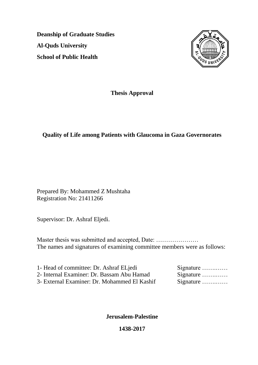**Deanship of Graduate Studies Al-Quds University School of Public Health**



**Thesis Approval**

### **Quality of Life among Patients with Glaucoma in Gaza Governorates**

Prepared By: Mohammed Z Mushtaha Registration No: 21411266

Supervisor: Dr. Ashraf Eljedi.

Master thesis was submitted and accepted, Date: ………………… The names and signatures of examining committee members were as follows:

1- Head of committee: Dr. Ashraf ELjedi 2- Internal Examiner: Dr. Bassam Abu Hamad 3- External Examiner: Dr. Mohammed El Kashif

|  |  |  |  |  |  | Signature<br>Signature<br>Signature |
|--|--|--|--|--|--|-------------------------------------|

**Jerusalem-Palestine**

**1438-2017**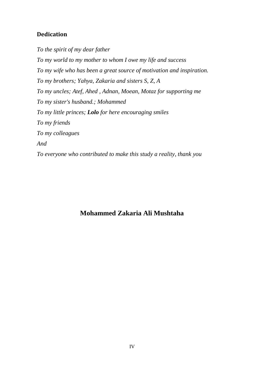## <span id="page-3-0"></span>**Dedication**

*To the spirit of my dear father To my world to my mother to whom I owe my life and success To my wife who has been a great source of motivation and inspiration. To my brothers; Yahya, Zakaria and sisters S, Z, A To my uncles; Atef, Ahed , Adnan, Moean, Motaz for supporting me To my sister's husband.; Mohammed To my little princes; Lolo for here encouraging smiles To my friends To my colleagues And To everyone who contributed to make this study a reality, thank you*

## **Mohammed Zakaria Ali Mushtaha**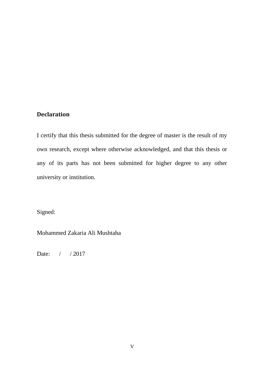#### <span id="page-4-0"></span>**Declaration**

I certify that this thesis submitted for the degree of master is the result of my own research, except where otherwise acknowledged, and that this thesis or any of its parts has not been submitted for higher degree to any other university or institution.

Signed:

Mohammed Zakaria Ali Mushtaha

Date: / / 2017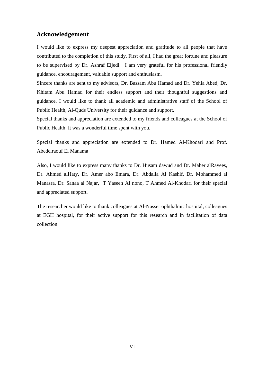#### <span id="page-5-0"></span>**Acknowledgement**

I would like to express my deepest appreciation and gratitude to all people that have contributed to the completion of this study. First of all, I had the great fortune and pleasure to be supervised by Dr. Ashraf Eljedi. I am very grateful for his professional friendly guidance, encouragement, valuable support and enthusiasm.

Sincere thanks are sent to my advisors, Dr. Bassam Abu Hamad and Dr. Yehia Abed, Dr. Khitam Abu Hamad for their endless support and their thoughtful suggestions and guidance. I would like to thank all academic and administrative staff of the School of Public Health, Al-Quds University for their guidance and support.

Special thanks and appreciation are extended to my friends and colleagues at the School of Public Health. It was a wonderful time spent with you.

Special thanks and appreciation are extended to Dr. Hamed Al-Khodari and Prof. Abedelraouf El Manama

Also, I would like to express many thanks to Dr. Husam dawud and Dr. Maher alRayees, Dr. Ahmed alHaty, Dr. Amer abo Emara, Dr. Abdalla Al Kashif, Dr. Mohammed al Manasra, Dr. Sanaa al Najar, T Yaseen Al nono, T Ahmed Al-Khodari for their special and appreciated support.

The researcher would like to thank colleagues at Al-Nasser ophthalmic hospital, colleagues at EGH hospital, for their active support for this research and in facilitation of data collection.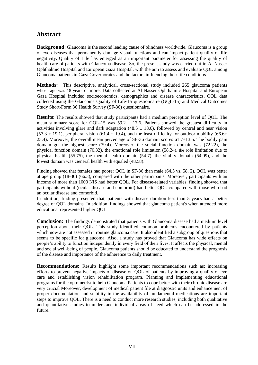#### <span id="page-6-0"></span>**Abstract**

**Background**: Glaucoma is the second leading cause of blindness worldwide. Glaucoma is a group of eye diseases that permanently damage visual functions and can impact patient quality of life negativity. Quality of Life has emerged as an important parameter for assessing the quality of health care of patients with Glaucoma disease. So, the present study was carried out in Al Nasser Ophthalmic Hospital and European Gaza Hospital, with the aim to assess and evaluate QOL among Glaucoma patients in Gaza Governorates and the factors influencing their life conditions.

**Methods:** This descriptive, analytical, cross-sectional study included 265 glaucoma patients whose age was 18 years or more. Data collected at Al Nasser Ophthalmic Hospital and European Gaza Hospital included socioeconomics, demographics and disease characteristics. QOL data collected using the Glaucoma Quality of Life-15 questionnaire (GQL-15) and Medical Outcomes Study Short-Form 36 Health Survey (SF-36) questionnaire.

**Results**: The results showed that study participants had a medium perception level of QOL. The mean summary score for GOL-15 was  $59.2 \pm 17.6$ . Patients showed the greatest difficulty in activities involving glare and dark adaptation (48.5  $\pm$  18.0), followed by central and near vision  $(57.3 \pm 19.1)$ , peripheral vision  $(61.4 \pm 19.4)$ , and the least difficulty for outdoor mobility  $(66.6 \pm 19.1)$ 25.4). Moreover, the overall mean percentage of SF-36 domain scores 61.7±13.5. The bodily pain domain got the highest score (79.4). Moreover, the social function domain was (72.22), the physical function domain (70.32), the emotional role limitation (58.24), the role limitation due to physical health (55.75), the mental health domain (54.7), the vitality domain (54.09), and the lowest domain was General health with equaled (48.58).

Finding showed that females had poorer QOL in SF-36 than male (64.5 vs. 58. 2). QOL was better at age group (18-30) (66.3), compared with the other participants. Moreover, participants with an income of more than 1000 NIS had better QOL. For disease-related variables, finding showed that participants without (ocular disease and comorbid) had better QOL compared with those who had an ocular disease and comorbid.

In addition, finding presented that, patients with disease duration less than 5 years had a better degree of QOL domains. In addition, findings showed that glaucoma patient's when attended more educational represented higher QOL.

**Conclusion:** The findings demonstrated that patients with Glaucoma disease had a medium level perception about their QOL. This study identified common problems encountered by patients which now are not assessed in routine glaucoma care. It also identified a subgroup of questions that seems to be specific for glaucoma. Also, a study has proved that Glaucoma has wide effects on people's ability to function independently in every field of their lives. It affects the physical, mental and social well-being of people. Glaucoma patients should be educated to understand the prognosis of the disease and importance of the adherence to daily treatment.

**Recommendations:** Results highlight some important recommendations such as: increasing efforts to prevent negative impacts of disease on QOL of patients by improving a quality of eye care and establishing vision rehabilitation program. Planning and implementing educational programs for the optometrist to help Glaucoma Patients to cope better with their chronic disease are very crucial Moreover, development of medical patient file at diagnostic units and enhancement of proper documentation and stability in the availability of fundamental medications are important steps to improve QOL. There is a need to conduct more research studies, including both qualitative and quantitative studies to understand individual areas of need which can be addressed in the future.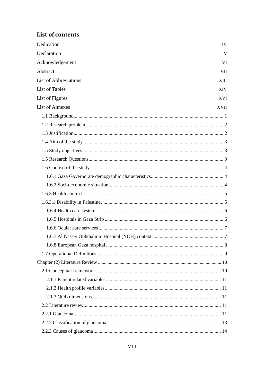## List of contents

| Dedication                   | IV          |
|------------------------------|-------------|
| Declaration                  | V           |
| Acknowledgement              | VI          |
| Abstract                     | <b>VII</b>  |
| <b>List of Abbreviations</b> | XIII        |
| <b>List of Tables</b>        | <b>XIV</b>  |
| List of Figures              | <b>XVI</b>  |
| <b>List of Annexes</b>       | <b>XVII</b> |
|                              |             |
|                              |             |
|                              |             |
|                              |             |
|                              |             |
|                              |             |
|                              |             |
|                              |             |
|                              |             |
|                              |             |
|                              |             |
|                              |             |
|                              |             |
|                              |             |
|                              |             |
|                              |             |
|                              |             |
|                              |             |
|                              |             |
|                              |             |
|                              |             |
|                              |             |
|                              |             |
|                              |             |
|                              |             |
|                              |             |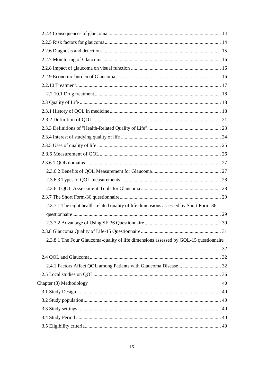| 2.3.7.1 The eight health-related quality of life dimensions assessed by Short Form-36 |    |
|---------------------------------------------------------------------------------------|----|
|                                                                                       |    |
|                                                                                       |    |
|                                                                                       |    |
| 2.3.8.1 The Four Glaucoma-quality of life dimensions assessed by GQL-15 questionnaire |    |
|                                                                                       |    |
|                                                                                       |    |
|                                                                                       |    |
|                                                                                       |    |
| Chapter (3) Methodology                                                               | 40 |
|                                                                                       |    |
|                                                                                       |    |
|                                                                                       |    |
|                                                                                       |    |
|                                                                                       |    |
|                                                                                       |    |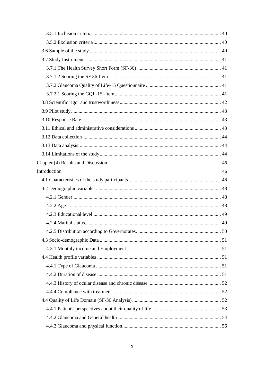| Chapter (4) Results and Discussion | 46 |
|------------------------------------|----|
| Introduction                       | 46 |
|                                    |    |
|                                    |    |
|                                    |    |
|                                    |    |
|                                    |    |
|                                    |    |
|                                    |    |
|                                    |    |
|                                    |    |
|                                    |    |
|                                    |    |
|                                    |    |
|                                    |    |
|                                    |    |
|                                    |    |
|                                    |    |
|                                    |    |
|                                    |    |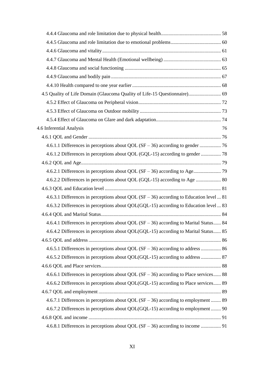| 4.5 Quality of Life Domain (Glaucoma Quality of Life-15 Questionnaire) 69                 |    |
|-------------------------------------------------------------------------------------------|----|
|                                                                                           |    |
|                                                                                           |    |
|                                                                                           |    |
| 4.6 Inferential Analysis                                                                  | 76 |
|                                                                                           |    |
|                                                                                           |    |
| 4.6.1.2 Differences in perceptions about QOL (GQL-15) according to gender  78             |    |
|                                                                                           |    |
|                                                                                           |    |
| 4.6.2.2 Differences in perceptions about QOL (GQL-15) according to Age  80                |    |
|                                                                                           |    |
| 4.6.3.1 Differences in perceptions about QOL $(SF - 36)$ according to Education level  81 |    |
| 4.6.3.2 Differences in perceptions about QOL(GQL-15) according to Education level  83     |    |
|                                                                                           |    |
| 4.6.4.1 Differences in perceptions about QOL (SF - 36) according to Marital Status 84     |    |
| 4.6.4.2 Differences in perceptions about QOL(GQL-15) according to Marital Status 85       |    |
|                                                                                           |    |
| 4.6.5.1 Differences in perceptions about QOL $(SF - 36)$ according to address  86         |    |
| 4.6.5.2 Differences in perceptions about QOL(GQL-15) according to address  87             |    |
|                                                                                           |    |
| 4.6.6.1 Differences in perceptions about QOL $(SF - 36)$ according to Place services 88   |    |
| 4.6.6.2 Differences in perceptions about QOL(GQL-15) according to Place services 89       |    |
|                                                                                           |    |
| 4.6.7.1 Differences in perceptions about QOL $(SF - 36)$ according to employment  89      |    |
| 4.6.7.2 Differences in perceptions about QOL(GQL-15) according to employment  90          |    |
|                                                                                           |    |
| 4.6.8.1 Differences in perceptions about QOL (SF – 36) according to income  91            |    |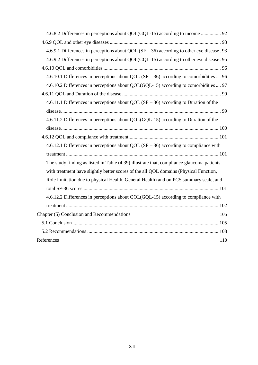| 4.6.9.1 Differences in perceptions about QOL $(SF - 36)$ according to other eye disease. 93 |
|---------------------------------------------------------------------------------------------|
| 4.6.9.2 Differences in perceptions about QOL(GQL-15) according to other eye disease. 95     |
|                                                                                             |
| 4.6.10.1 Differences in perceptions about QOL (SF $-$ 36) according to comorbidities  96    |
| 4.6.10.2 Differences in perceptions about QOL(GQL-15) according to comorbidities  97        |
|                                                                                             |
| 4.6.11.1 Differences in perceptions about QOL $(SF - 36)$ according to Duration of the      |
|                                                                                             |
| 4.6.11.2 Differences in perceptions about QOL(GQL-15) according to Duration of the          |
|                                                                                             |
|                                                                                             |
| 4.6.12.1 Differences in perceptions about QOL $(SF - 36)$ according to compliance with      |
|                                                                                             |
| The study finding as listed in Table (4.39) illustrate that, compliance glaucoma patients   |
| with treatment have slightly better scores of the all QOL domains (Physical Function,       |
| Role limitation due to physical Health, General Health) and on PCS summary scale, and       |
|                                                                                             |
| 4.6.12.2 Differences in perceptions about QOL(GQL-15) according to compliance with          |
|                                                                                             |
| Chapter (5) Conclusion and Recommendations<br>105                                           |
|                                                                                             |
|                                                                                             |
| References<br>110                                                                           |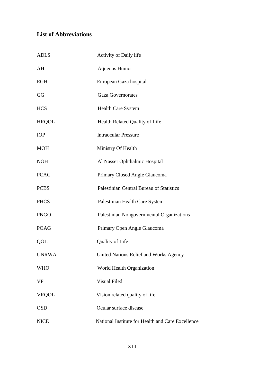## <span id="page-12-0"></span>**List of Abbreviations**

| <b>ADLS</b>  | Activity of Daily life                            |
|--------------|---------------------------------------------------|
| AH           | <b>Aqueous Humor</b>                              |
| <b>EGH</b>   | European Gaza hospital                            |
| GG           | <b>Gaza Governorates</b>                          |
| <b>HCS</b>   | Health Care System                                |
| <b>HRQOL</b> | Health Related Quality of Life                    |
| <b>IOP</b>   | <b>Intraocular Pressure</b>                       |
| <b>MOH</b>   | Ministry Of Health                                |
| <b>NOH</b>   | Al Nasser Ophthalmic Hospital                     |
| <b>PCAG</b>  | Primary Closed Angle Glaucoma                     |
| <b>PCBS</b>  | Palestinian Central Bureau of Statistics          |
| <b>PHCS</b>  | Palestinian Health Care System                    |
| <b>PNGO</b>  | Palestinian Nongovernmental Organizations         |
| <b>POAG</b>  | Primary Open Angle Glaucoma                       |
| QOL          | Quality of Life                                   |
| <b>UNRWA</b> | United Nations Relief and Works Agency            |
| <b>WHO</b>   | World Health Organization                         |
| <b>VF</b>    | Visual Filed                                      |
| <b>VRQOL</b> | Vision related quality of life                    |
| <b>OSD</b>   | Ocular surface disease                            |
| <b>NICE</b>  | National Institute for Health and Care Excellence |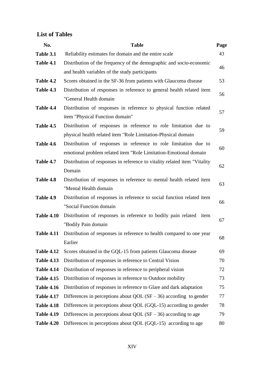### <span id="page-13-0"></span>**List of Tables**

| No.               | <b>Table</b>                                                              | Page |  |
|-------------------|---------------------------------------------------------------------------|------|--|
| Table 3.1         | Reliability estimates for domain and the entire scale                     | 43   |  |
| Table 4.1         | Distribution of the frequency of the demographic and socio-economic       |      |  |
|                   | and health variables of the study participants                            | 46   |  |
| Table 4.2         | Scores obtained in the SF-36 from patients with Glaucoma disease          | 53   |  |
| Table 4.3         | Distribution of responses in reference to general health related item     |      |  |
|                   | "General Health domain                                                    | 56   |  |
| Table 4.4         | Distribution of responses in reference to physical function related       |      |  |
|                   | item "Physical Function domain"                                           | 57   |  |
| Table 4.5         | Distribution of responses in reference to role limitation due to          |      |  |
|                   | physical health related item "Role Limitation-Physical domain             | 59   |  |
| Table 4.6         | Distribution of responses in reference to role limitation due to          |      |  |
|                   | emotional problem related item "Role Limitation-Emotional domain          | 60   |  |
| Table 4.7         | Distribution of responses in reference to vitality related item "Vitality |      |  |
|                   | Domain                                                                    | 62   |  |
| Table 4.8         | Distribution of responses in reference to mental health related item      |      |  |
|                   | "Mental Health domain                                                     | 63   |  |
| Table 4.9         | Distribution of responses in reference to social function related item    |      |  |
|                   | "Social Function domain                                                   | 66   |  |
| <b>Table 4.10</b> | Distribution of responses in reference to bodily pain related item        |      |  |
|                   | "Bodily Pain domain                                                       | 67   |  |
| <b>Table 4.11</b> | Distribution of responses in reference to health compared to one year     |      |  |
|                   | Earlier                                                                   | 68   |  |
| <b>Table 4.12</b> | Scores obtained in the GQL-15 from patients Glaucoma disease              | 69   |  |
| <b>Table 4.13</b> | Distribution of responses in reference to Central Vision                  | 70   |  |
| <b>Table 4.14</b> | Distribution of responses in reference to peripheral vision               | 72   |  |
| <b>Table 4.15</b> | Distribution of responses in reference to Outdoor mobility                | 73   |  |
| <b>Table 4.16</b> | Distribution of responses in reference to Glare and dark adaptation       | 75   |  |
| <b>Table 4.17</b> | Differences in perceptions about QOL $(SF - 36)$ according to gender      | 77   |  |
| <b>Table 4.18</b> | Differences in perceptions about QOL (GQL-15) according to gender         | 78   |  |
| <b>Table 4.19</b> | Differences in perceptions about QOL $(SF - 36)$ according to age         | 79   |  |
| <b>Table 4.20</b> | Differences in perceptions about QOL (GQL-15) according to age            | 80   |  |